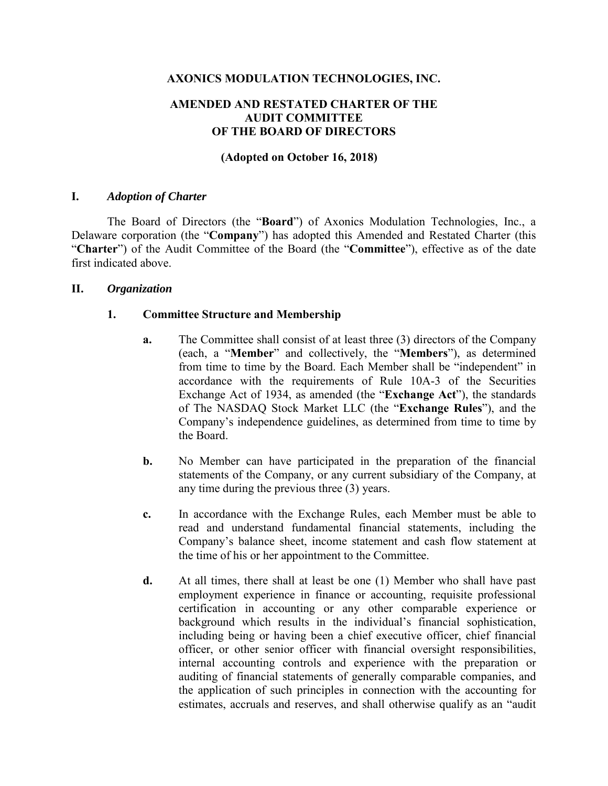### **AXONICS MODULATION TECHNOLOGIES, INC.**

### **AMENDED AND RESTATED CHARTER OF THE AUDIT COMMITTEE OF THE BOARD OF DIRECTORS**

### **(Adopted on October 16, 2018)**

#### **I.** *Adoption of Charter*

The Board of Directors (the "**Board**") of Axonics Modulation Technologies, Inc., a Delaware corporation (the "**Company**") has adopted this Amended and Restated Charter (this "**Charter**") of the Audit Committee of the Board (the "**Committee**"), effective as of the date first indicated above.

#### **II.** *Organization*

### **1. Committee Structure and Membership**

- **a.** The Committee shall consist of at least three (3) directors of the Company (each, a "**Member**" and collectively, the "**Members**"), as determined from time to time by the Board. Each Member shall be "independent" in accordance with the requirements of Rule 10A-3 of the Securities Exchange Act of 1934, as amended (the "**Exchange Act**"), the standards of The NASDAQ Stock Market LLC (the "**Exchange Rules**"), and the Company's independence guidelines, as determined from time to time by the Board.
- **b.** No Member can have participated in the preparation of the financial statements of the Company, or any current subsidiary of the Company, at any time during the previous three (3) years.
- **c.** In accordance with the Exchange Rules, each Member must be able to read and understand fundamental financial statements, including the Company's balance sheet, income statement and cash flow statement at the time of his or her appointment to the Committee.
- **d.** At all times, there shall at least be one (1) Member who shall have past employment experience in finance or accounting, requisite professional certification in accounting or any other comparable experience or background which results in the individual's financial sophistication, including being or having been a chief executive officer, chief financial officer, or other senior officer with financial oversight responsibilities, internal accounting controls and experience with the preparation or auditing of financial statements of generally comparable companies, and the application of such principles in connection with the accounting for estimates, accruals and reserves, and shall otherwise qualify as an "audit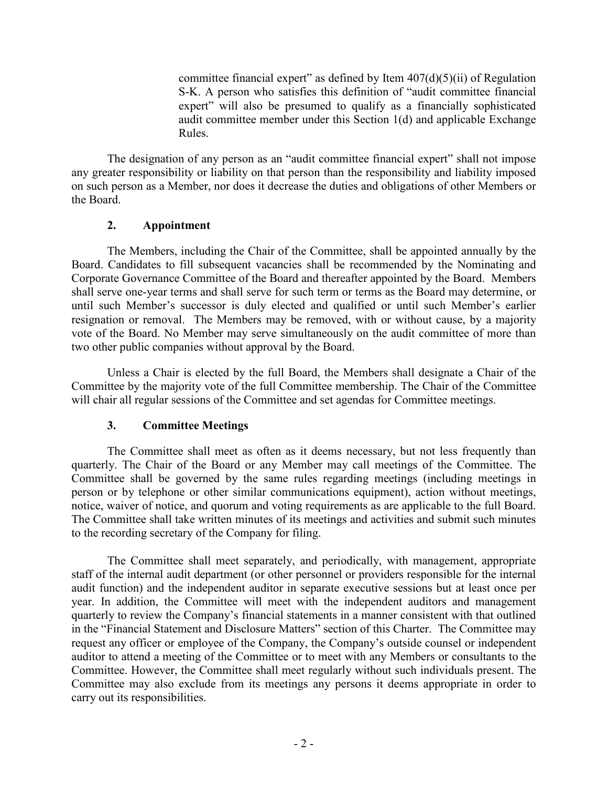committee financial expert" as defined by Item  $407(d)(5)(ii)$  of Regulation S-K. A person who satisfies this definition of "audit committee financial expert" will also be presumed to qualify as a financially sophisticated audit committee member under this Section 1(d) and applicable Exchange Rules.

The designation of any person as an "audit committee financial expert" shall not impose any greater responsibility or liability on that person than the responsibility and liability imposed on such person as a Member, nor does it decrease the duties and obligations of other Members or the Board.

## **2. Appointment**

The Members, including the Chair of the Committee, shall be appointed annually by the Board. Candidates to fill subsequent vacancies shall be recommended by the Nominating and Corporate Governance Committee of the Board and thereafter appointed by the Board. Members shall serve one-year terms and shall serve for such term or terms as the Board may determine, or until such Member's successor is duly elected and qualified or until such Member's earlier resignation or removal. The Members may be removed, with or without cause, by a majority vote of the Board. No Member may serve simultaneously on the audit committee of more than two other public companies without approval by the Board.

Unless a Chair is elected by the full Board, the Members shall designate a Chair of the Committee by the majority vote of the full Committee membership. The Chair of the Committee will chair all regular sessions of the Committee and set agendas for Committee meetings.

# **3. Committee Meetings**

The Committee shall meet as often as it deems necessary, but not less frequently than quarterly. The Chair of the Board or any Member may call meetings of the Committee. The Committee shall be governed by the same rules regarding meetings (including meetings in person or by telephone or other similar communications equipment), action without meetings, notice, waiver of notice, and quorum and voting requirements as are applicable to the full Board. The Committee shall take written minutes of its meetings and activities and submit such minutes to the recording secretary of the Company for filing.

The Committee shall meet separately, and periodically, with management, appropriate staff of the internal audit department (or other personnel or providers responsible for the internal audit function) and the independent auditor in separate executive sessions but at least once per year. In addition, the Committee will meet with the independent auditors and management quarterly to review the Company's financial statements in a manner consistent with that outlined in the "Financial Statement and Disclosure Matters" section of this Charter. The Committee may request any officer or employee of the Company, the Company's outside counsel or independent auditor to attend a meeting of the Committee or to meet with any Members or consultants to the Committee. However, the Committee shall meet regularly without such individuals present. The Committee may also exclude from its meetings any persons it deems appropriate in order to carry out its responsibilities.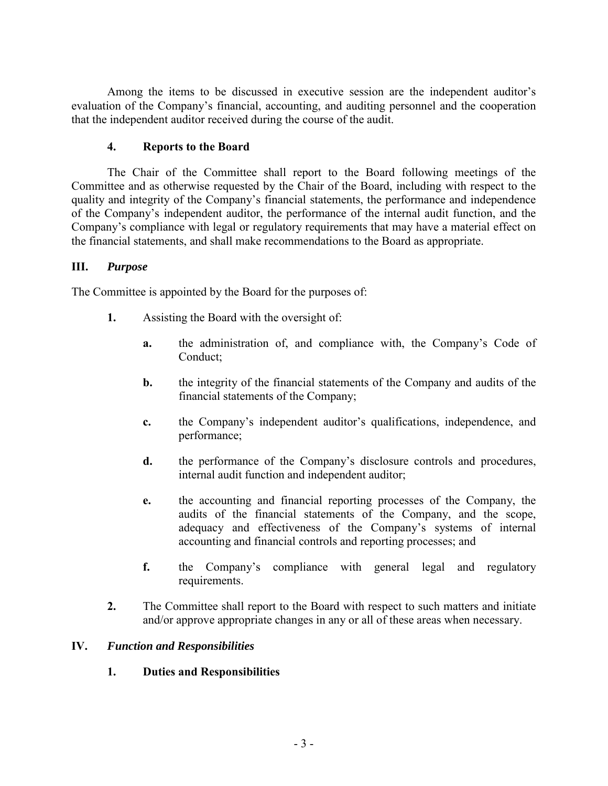Among the items to be discussed in executive session are the independent auditor's evaluation of the Company's financial, accounting, and auditing personnel and the cooperation that the independent auditor received during the course of the audit.

## **4. Reports to the Board**

The Chair of the Committee shall report to the Board following meetings of the Committee and as otherwise requested by the Chair of the Board, including with respect to the quality and integrity of the Company's financial statements, the performance and independence of the Company's independent auditor, the performance of the internal audit function, and the Company's compliance with legal or regulatory requirements that may have a material effect on the financial statements, and shall make recommendations to the Board as appropriate.

### **III.** *Purpose*

The Committee is appointed by the Board for the purposes of:

- **1.** Assisting the Board with the oversight of:
	- **a.** the administration of, and compliance with, the Company's Code of Conduct;
	- **b.** the integrity of the financial statements of the Company and audits of the financial statements of the Company;
	- **c.** the Company's independent auditor's qualifications, independence, and performance;
	- **d.** the performance of the Company's disclosure controls and procedures, internal audit function and independent auditor;
	- **e.** the accounting and financial reporting processes of the Company, the audits of the financial statements of the Company, and the scope, adequacy and effectiveness of the Company's systems of internal accounting and financial controls and reporting processes; and
	- **f.** the Company's compliance with general legal and regulatory requirements.
- **2.** The Committee shall report to the Board with respect to such matters and initiate and/or approve appropriate changes in any or all of these areas when necessary.

## **IV.** *Function and Responsibilities*

**1. Duties and Responsibilities**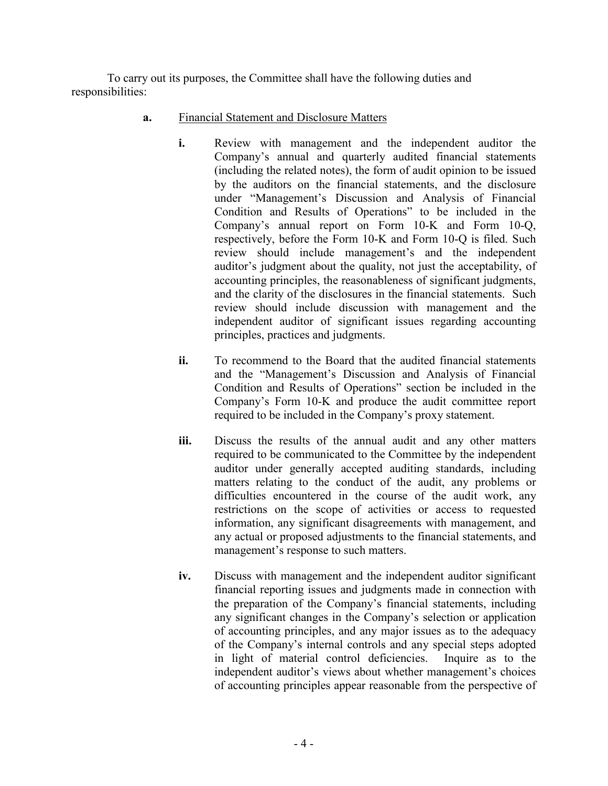To carry out its purposes, the Committee shall have the following duties and responsibilities:

- **a.** Financial Statement and Disclosure Matters
	- **i.** Review with management and the independent auditor the Company's annual and quarterly audited financial statements (including the related notes), the form of audit opinion to be issued by the auditors on the financial statements, and the disclosure under "Management's Discussion and Analysis of Financial Condition and Results of Operations" to be included in the Company's annual report on Form 10-K and Form 10-Q, respectively, before the Form 10-K and Form 10-Q is filed. Such review should include management's and the independent auditor's judgment about the quality, not just the acceptability, of accounting principles, the reasonableness of significant judgments, and the clarity of the disclosures in the financial statements. Such review should include discussion with management and the independent auditor of significant issues regarding accounting principles, practices and judgments.
	- **ii.** To recommend to the Board that the audited financial statements and the "Management's Discussion and Analysis of Financial Condition and Results of Operations" section be included in the Company's Form 10-K and produce the audit committee report required to be included in the Company's proxy statement.
	- **iii.** Discuss the results of the annual audit and any other matters required to be communicated to the Committee by the independent auditor under generally accepted auditing standards, including matters relating to the conduct of the audit, any problems or difficulties encountered in the course of the audit work, any restrictions on the scope of activities or access to requested information, any significant disagreements with management, and any actual or proposed adjustments to the financial statements, and management's response to such matters.
	- **iv.** Discuss with management and the independent auditor significant financial reporting issues and judgments made in connection with the preparation of the Company's financial statements, including any significant changes in the Company's selection or application of accounting principles, and any major issues as to the adequacy of the Company's internal controls and any special steps adopted in light of material control deficiencies. Inquire as to the independent auditor's views about whether management's choices of accounting principles appear reasonable from the perspective of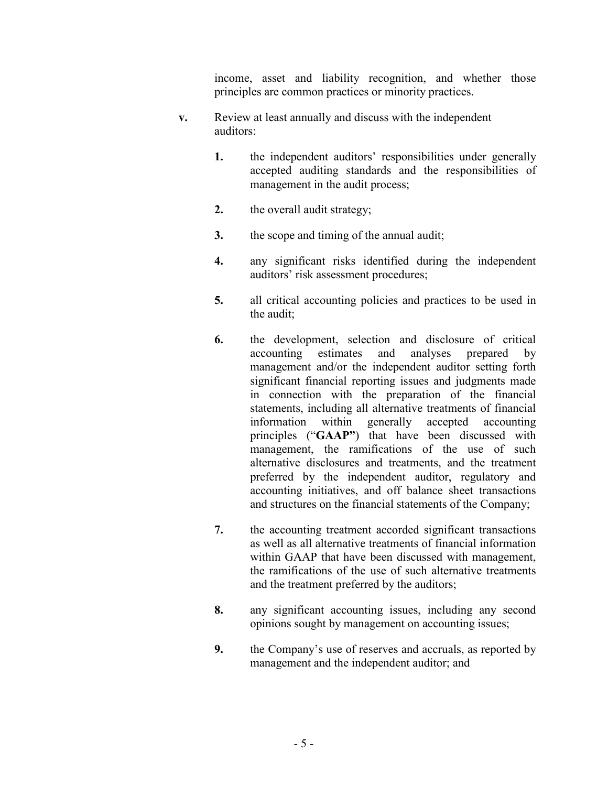income, asset and liability recognition, and whether those principles are common practices or minority practices.

- **v.** Review at least annually and discuss with the independent auditors:
	- **1.** the independent auditors' responsibilities under generally accepted auditing standards and the responsibilities of management in the audit process;
	- **2.** the overall audit strategy;
	- **3.** the scope and timing of the annual audit;
	- **4.** any significant risks identified during the independent auditors' risk assessment procedures;
	- **5.** all critical accounting policies and practices to be used in the audit;
	- **6.** the development, selection and disclosure of critical accounting estimates and analyses prepared by management and/or the independent auditor setting forth significant financial reporting issues and judgments made in connection with the preparation of the financial statements, including all alternative treatments of financial information within generally accepted accounting principles ("**GAAP"**) that have been discussed with management, the ramifications of the use of such alternative disclosures and treatments, and the treatment preferred by the independent auditor, regulatory and accounting initiatives, and off balance sheet transactions and structures on the financial statements of the Company;
	- **7.** the accounting treatment accorded significant transactions as well as all alternative treatments of financial information within GAAP that have been discussed with management, the ramifications of the use of such alternative treatments and the treatment preferred by the auditors;
	- **8.** any significant accounting issues, including any second opinions sought by management on accounting issues;
	- **9.** the Company's use of reserves and accruals, as reported by management and the independent auditor; and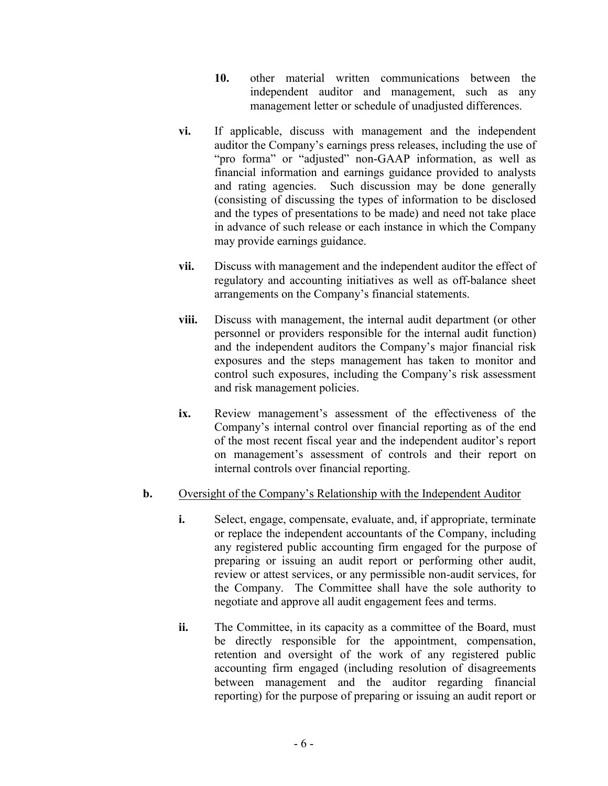- **10.** other material written communications between the independent auditor and management, such as any management letter or schedule of unadjusted differences.
- **vi.** If applicable, discuss with management and the independent auditor the Company's earnings press releases, including the use of "pro forma" or "adjusted" non-GAAP information, as well as financial information and earnings guidance provided to analysts and rating agencies. Such discussion may be done generally (consisting of discussing the types of information to be disclosed and the types of presentations to be made) and need not take place in advance of such release or each instance in which the Company may provide earnings guidance.
- **vii.** Discuss with management and the independent auditor the effect of regulatory and accounting initiatives as well as off-balance sheet arrangements on the Company's financial statements.
- **viii.** Discuss with management, the internal audit department (or other personnel or providers responsible for the internal audit function) and the independent auditors the Company's major financial risk exposures and the steps management has taken to monitor and control such exposures, including the Company's risk assessment and risk management policies.
- **ix.** Review management's assessment of the effectiveness of the Company's internal control over financial reporting as of the end of the most recent fiscal year and the independent auditor's report on management's assessment of controls and their report on internal controls over financial reporting.

## **b.** Oversight of the Company's Relationship with the Independent Auditor

- **i.** Select, engage, compensate, evaluate, and, if appropriate, terminate or replace the independent accountants of the Company, including any registered public accounting firm engaged for the purpose of preparing or issuing an audit report or performing other audit, review or attest services, or any permissible non-audit services, for the Company. The Committee shall have the sole authority to negotiate and approve all audit engagement fees and terms.
- **ii.** The Committee, in its capacity as a committee of the Board, must be directly responsible for the appointment, compensation, retention and oversight of the work of any registered public accounting firm engaged (including resolution of disagreements between management and the auditor regarding financial reporting) for the purpose of preparing or issuing an audit report or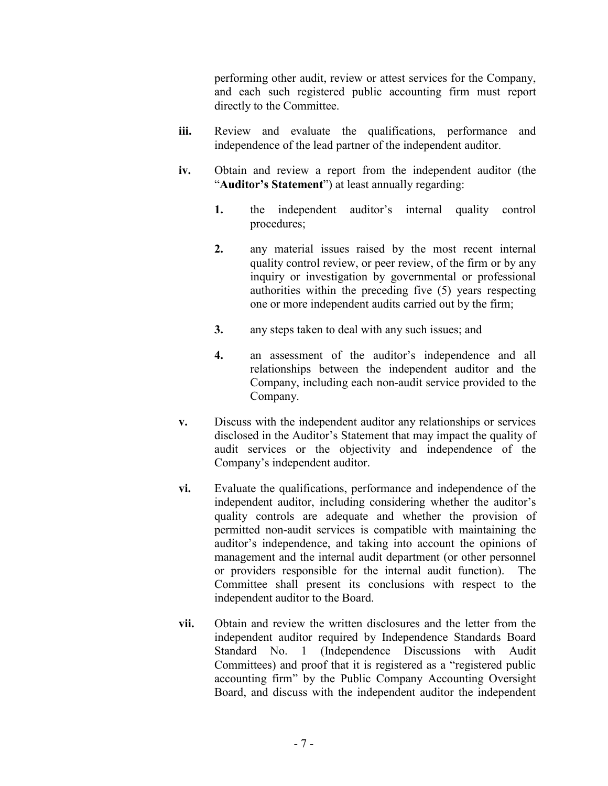performing other audit, review or attest services for the Company, and each such registered public accounting firm must report directly to the Committee.

- **iii.** Review and evaluate the qualifications, performance and independence of the lead partner of the independent auditor.
- **iv.** Obtain and review a report from the independent auditor (the "**Auditor's Statement**") at least annually regarding:
	- **1.** the independent auditor's internal quality control procedures;
	- **2.** any material issues raised by the most recent internal quality control review, or peer review, of the firm or by any inquiry or investigation by governmental or professional authorities within the preceding five (5) years respecting one or more independent audits carried out by the firm;
	- **3.** any steps taken to deal with any such issues; and
	- **4.** an assessment of the auditor's independence and all relationships between the independent auditor and the Company, including each non-audit service provided to the Company.
- **v.** Discuss with the independent auditor any relationships or services disclosed in the Auditor's Statement that may impact the quality of audit services or the objectivity and independence of the Company's independent auditor.
- **vi.** Evaluate the qualifications, performance and independence of the independent auditor, including considering whether the auditor's quality controls are adequate and whether the provision of permitted non-audit services is compatible with maintaining the auditor's independence, and taking into account the opinions of management and the internal audit department (or other personnel or providers responsible for the internal audit function). The Committee shall present its conclusions with respect to the independent auditor to the Board.
- **vii.** Obtain and review the written disclosures and the letter from the independent auditor required by Independence Standards Board Standard No. 1 (Independence Discussions with Audit Committees) and proof that it is registered as a "registered public accounting firm" by the Public Company Accounting Oversight Board, and discuss with the independent auditor the independent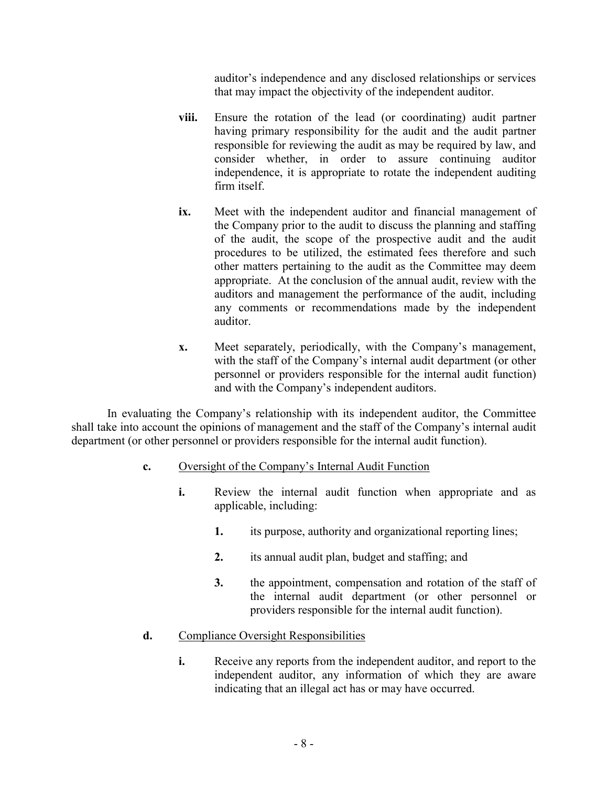auditor's independence and any disclosed relationships or services that may impact the objectivity of the independent auditor.

- **viii.** Ensure the rotation of the lead (or coordinating) audit partner having primary responsibility for the audit and the audit partner responsible for reviewing the audit as may be required by law, and consider whether, in order to assure continuing auditor independence, it is appropriate to rotate the independent auditing firm itself.
- **ix.** Meet with the independent auditor and financial management of the Company prior to the audit to discuss the planning and staffing of the audit, the scope of the prospective audit and the audit procedures to be utilized, the estimated fees therefore and such other matters pertaining to the audit as the Committee may deem appropriate. At the conclusion of the annual audit, review with the auditors and management the performance of the audit, including any comments or recommendations made by the independent auditor.
- **x.** Meet separately, periodically, with the Company's management, with the staff of the Company's internal audit department (or other personnel or providers responsible for the internal audit function) and with the Company's independent auditors.

In evaluating the Company's relationship with its independent auditor, the Committee shall take into account the opinions of management and the staff of the Company's internal audit department (or other personnel or providers responsible for the internal audit function).

## **c.** Oversight of the Company's Internal Audit Function

- **i.** Review the internal audit function when appropriate and as applicable, including:
	- **1.** its purpose, authority and organizational reporting lines;
	- **2.** its annual audit plan, budget and staffing; and
	- **3.** the appointment, compensation and rotation of the staff of the internal audit department (or other personnel or providers responsible for the internal audit function).

# **d.** Compliance Oversight Responsibilities

**i.** Receive any reports from the independent auditor, and report to the independent auditor, any information of which they are aware indicating that an illegal act has or may have occurred.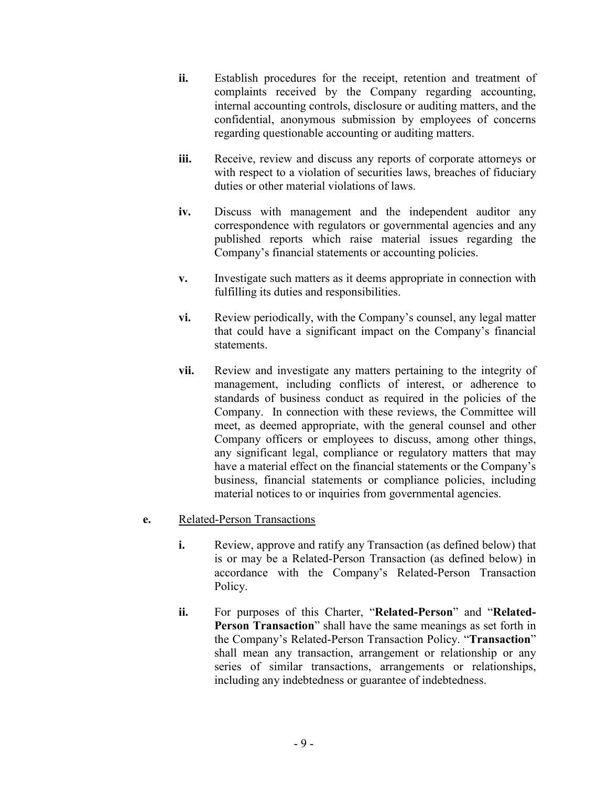- **ii.** Establish procedures for the receipt, retention and treatment of complaints received by the Company regarding accounting, internal accounting controls, disclosure or auditing matters, and the confidential, anonymous submission by employees of concerns regarding questionable accounting or auditing matters.
- **iii.** Receive, review and discuss any reports of corporate attorneys or with respect to a violation of securities laws, breaches of fiduciary duties or other material violations of laws.
- **iv.** Discuss with management and the independent auditor any correspondence with regulators or governmental agencies and any published reports which raise material issues regarding the Company's financial statements or accounting policies.
- **v.** Investigate such matters as it deems appropriate in connection with fulfilling its duties and responsibilities.
- **vi.** Review periodically, with the Company's counsel, any legal matter that could have a significant impact on the Company's financial statements.
- **vii.** Review and investigate any matters pertaining to the integrity of management, including conflicts of interest, or adherence to standards of business conduct as required in the policies of the Company. In connection with these reviews, the Committee will meet, as deemed appropriate, with the general counsel and other Company officers or employees to discuss, among other things, any significant legal, compliance or regulatory matters that may have a material effect on the financial statements or the Company's business, financial statements or compliance policies, including material notices to or inquiries from governmental agencies.

## **e.** Related-Person Transactions

- **i.** Review, approve and ratify any Transaction (as defined below) that is or may be a Related-Person Transaction (as defined below) in accordance with the Company's Related-Person Transaction Policy.
- **ii.** For purposes of this Charter, "**Related-Person**" and "**Related-Person Transaction**" shall have the same meanings as set forth in the Company's Related-Person Transaction Policy. "**Transaction**" shall mean any transaction, arrangement or relationship or any series of similar transactions, arrangements or relationships, including any indebtedness or guarantee of indebtedness.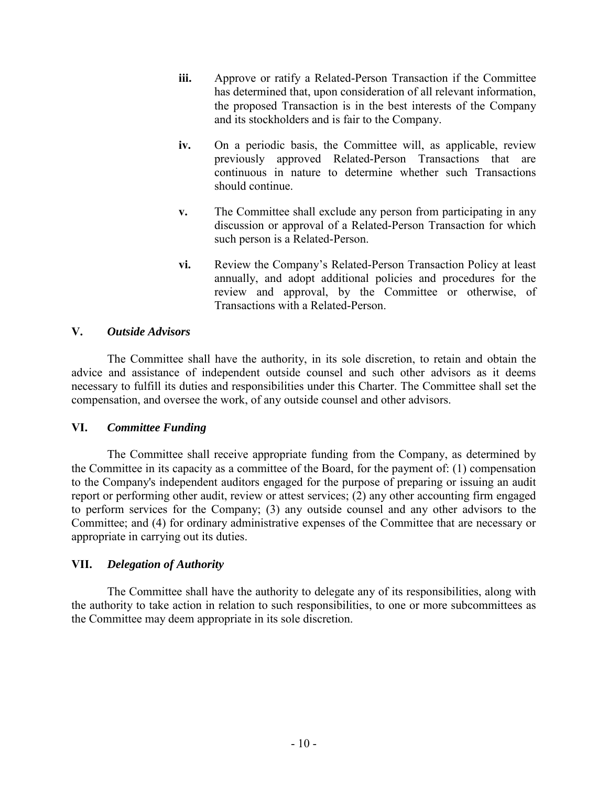- **iii.** Approve or ratify a Related-Person Transaction if the Committee has determined that, upon consideration of all relevant information, the proposed Transaction is in the best interests of the Company and its stockholders and is fair to the Company.
- **iv.** On a periodic basis, the Committee will, as applicable, review previously approved Related-Person Transactions that are continuous in nature to determine whether such Transactions should continue.
- **v.** The Committee shall exclude any person from participating in any discussion or approval of a Related-Person Transaction for which such person is a Related-Person.
- **vi.** Review the Company's Related-Person Transaction Policy at least annually, and adopt additional policies and procedures for the review and approval, by the Committee or otherwise, of Transactions with a Related-Person.

### **V.** *Outside Advisors*

The Committee shall have the authority, in its sole discretion, to retain and obtain the advice and assistance of independent outside counsel and such other advisors as it deems necessary to fulfill its duties and responsibilities under this Charter. The Committee shall set the compensation, and oversee the work, of any outside counsel and other advisors.

### **VI.** *Committee Funding*

The Committee shall receive appropriate funding from the Company, as determined by the Committee in its capacity as a committee of the Board, for the payment of: (1) compensation to the Company's independent auditors engaged for the purpose of preparing or issuing an audit report or performing other audit, review or attest services; (2) any other accounting firm engaged to perform services for the Company; (3) any outside counsel and any other advisors to the Committee; and (4) for ordinary administrative expenses of the Committee that are necessary or appropriate in carrying out its duties.

### **VII.** *Delegation of Authority*

The Committee shall have the authority to delegate any of its responsibilities, along with the authority to take action in relation to such responsibilities, to one or more subcommittees as the Committee may deem appropriate in its sole discretion.